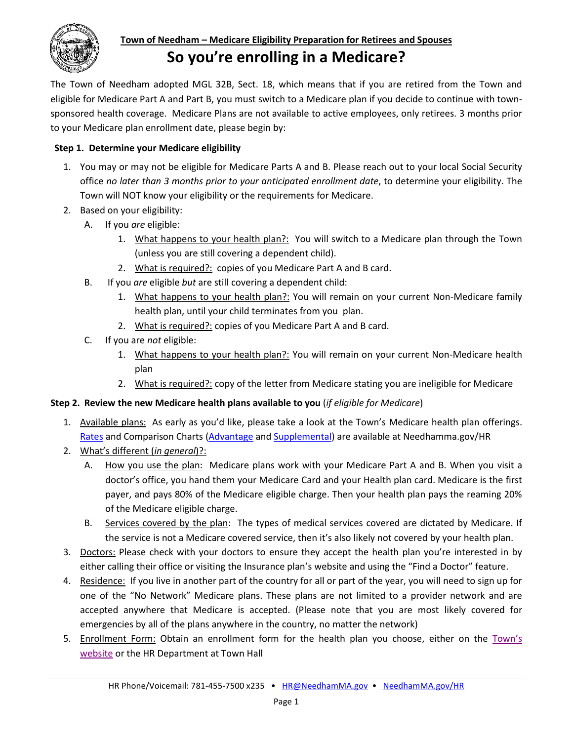

# **Town of Needham – Medicare Eligibility Preparation for Retirees and Spouses So you're enrolling in a Medicare?**

The Town of Needham adopted MGL 32B, Sect. 18, which means that if you are retired from the Town and eligible for Medicare Part A and Part B, you must switch to a Medicare plan if you decide to continue with townsponsored health coverage. Medicare Plans are not available to active employees, only retirees. 3 months prior to your Medicare plan enrollment date, please begin by:

# **Step 1. Determine your Medicare eligibility**

- 1. You may or may not be eligible for Medicare Parts A and B. Please reach out to your local Social Security office *no later than 3 months prior to your anticipated enrollment date*, to determine your eligibility. The Town will NOT know your eligibility or the requirements for Medicare.
- 2. Based on your eligibility:
	- A. If you *are* eligible:
		- 1. What happens to your health plan?: You will switch to a Medicare plan through the Town (unless you are still covering a dependent child).
		- 2. What is required?: copies of you Medicare Part A and B card.
	- B. If you *are* eligible *but* are still covering a dependent child:
		- 1. What happens to your health plan?: You will remain on your current Non-Medicare family health plan, until your child terminates from you plan.
		- 2. What is required?: copies of you Medicare Part A and B card.
	- C. If you are *not* eligible:
		- 1. What happens to your health plan?: You will remain on your current Non-Medicare health plan
		- 2. What is required?: copy of the letter from Medicare stating you are ineligible for Medicare

# **Step 2. Review the new Medicare health plans available to you** (*if eligible for Medicare*)

- 1. Available plans: As early as you'd like, please take a look at the Town's Medicare health plan offerings. [Rates](http://needhamma.gov/DocumentCenter/View/22378/Rates-for-Print_CY21?bidId=) and Comparison Charts [\(Advantage](http://westsuburbanhealth.com/wp-content/uploads/2020/10/WSHG-Medicare-Advantage-HMO-2021-final.pdf) an[d Supplemental\)](http://westsuburbanhealth.com/wp-content/uploads/2020/10/WSHG-Medicare-Supplement-2021-final.pdf) are available at Needhamma.gov/HR
- 2. What's different (*in general*)?:
	- A. How you use the plan: Medicare plans work with your Medicare Part A and B. When you visit a doctor's office, you hand them your Medicare Card and your Health plan card. Medicare is the first payer, and pays 80% of the Medicare eligible charge. Then your health plan pays the reaming 20% of the Medicare eligible charge.
	- B. Services covered by the plan: The types of medical services covered are dictated by Medicare. If the service is not a Medicare covered service, then it's also likely not covered by your health plan.
- 3. Doctors: Please check with your doctors to ensure they accept the health plan you're interested in by either calling their office or visiting the Insurance plan's website and using the "Find a Doctor" feature.
- 4. Residence: If you live in another part of the country for all or part of the year, you will need to sign up for one of the "No Network" Medicare plans. These plans are not limited to a provider network and are accepted anywhere that Medicare is accepted. (Please note that you are most likely covered for emergencies by all of the plans anywhere in the country, no matter the network)
- 5. Enrollment Form: Obtain an enrollment form for the health plan you choose, either on the [Town's](http://www.needhamma.gov/index.aspx?nid=4385)  [website](http://www.needhamma.gov/index.aspx?nid=4385) or the HR Department at Town Hall